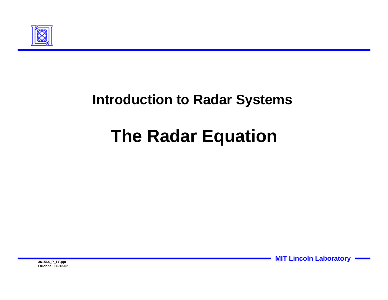

#### **Introduction to Radar Systems**

# **The Radar Equation**

**MIT Lincoln Laboratory**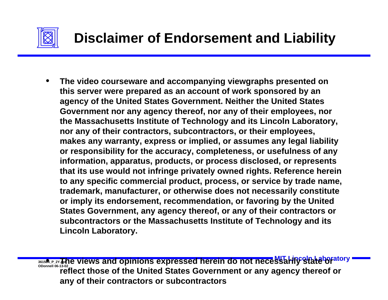

• **The video courseware and accompanying viewgraphs presented on this server were prepared as an account of work sponsored by an agency of the United States Government. Neither the United States Government nor any agency thereof, nor any of their employees, nor the Massachusetts Institute of Technology and its Lincoln Laboratory, nor any of their contractors, subcontractors, or their employees, makes any warranty, express or implied, or assumes any legal liability or responsibility for the accuracy, completeness, or usefulness of any information, apparatus, products, or process disclosed, or represents that its use would not infringe privately owned rights. Reference herein to any specific commercial product, process, or service by trade name, trademark, manufacturer, or otherwise does not necessarily constitute or imply its endorsement, recommendation, or favoring by the United States Government, any agency thereof, or any of their contractors or subcontractors or the Massachusetts Institute of Technology and its Lincoln Laboratory.**

**MIT DEPLEM AND STATE OF STATE STATE STATE SERVIEWS AND RELATE OF ALL ARELY STATE OF ALL ADGREETLY STATE OF ALL A<br>ODonnell 06-13-02 reflect those of the United States Government or any agency thereof or any of their contractors or subcontractors**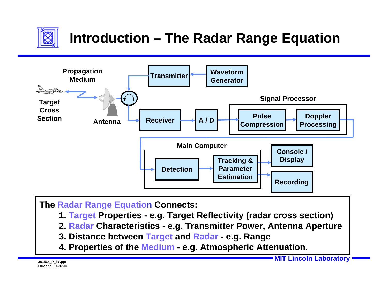

## **Introduction – The Radar Range Equation**



**The Radar Range Equation Connects:**

- **1. Target Properties e.g. Target Reflectivity (radar cross section)**
- **2. Radar Characteristics e.g. Transmitter Power, Antenna Aperture**
- **3. Distance between Target and Radar e.g. Range**
- **4. Properties of the Medium e.g. Atmospheric Attenuation.**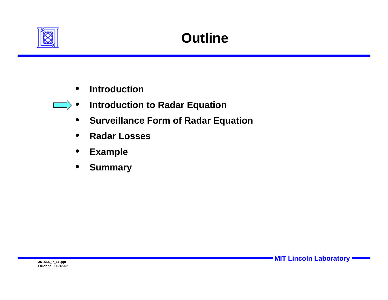

- **Introduction**
- **Introduction to Radar Equation**
	- **Surveillance Form of Radar Equation**
	- **Radar Losses**
	- **Example**
	- **Summary**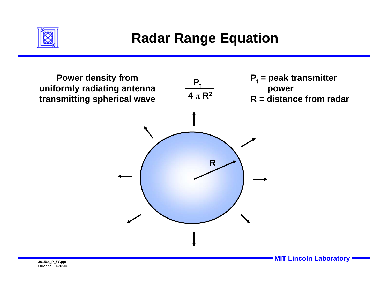

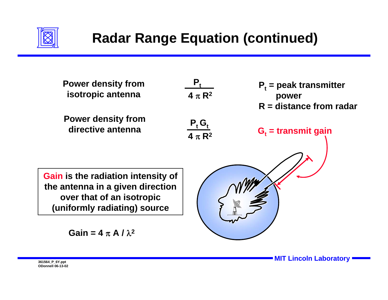

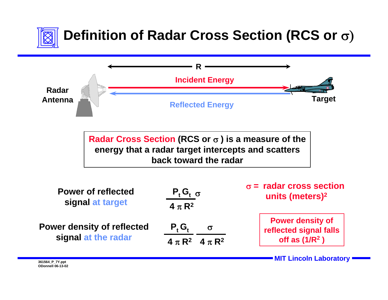

# **Definition of Radar Cross Section (RCS or** σ)



**Radar Cross Section (RCS or** σ **) is a measure of the energy that a radar target intercepts and scatters back toward the radar**

| <b>Power of reflected</b><br>signal at target            | $P_t G_t \sigma$        | $\sigma$ = radar cross section<br>units (meters) <sup>2</sup> |  |
|----------------------------------------------------------|-------------------------|---------------------------------------------------------------|--|
|                                                          | 4 $\pi$ R <sup>2</sup>  |                                                               |  |
| <b>Power density of reflected</b><br>signal at the radar | <b>P.G.</b>             | <b>Power density of</b><br>reflected signal falls             |  |
|                                                          | $4 \pi R^2$ $4 \pi R^2$ | off as $(1/R2)$                                               |  |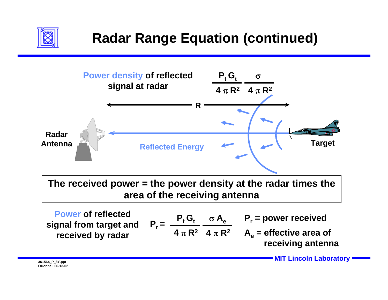



**4** π **R2**

**signal from target and received by radar** 

**MIT Lincoln Laboratory 361564\_P\_8Y.ppt**

**receiving antenna**

 $A_e$  = effective area of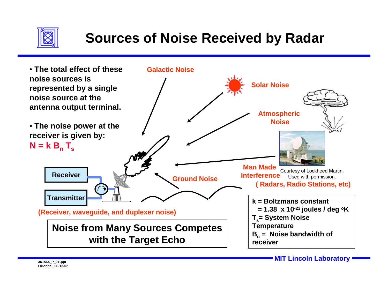

## **Sources of Noise Received by Radar**

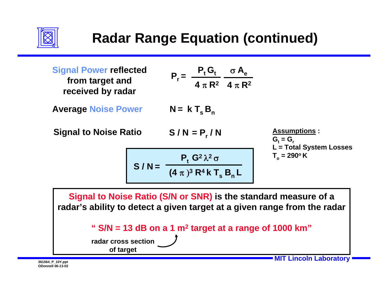

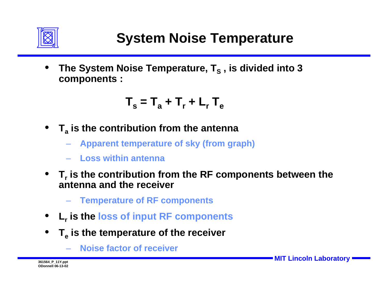

The System Noise Temperature, T<sub>s</sub>, is divided into 3 **components :**

 $T_s = T_a + T_r + L_r T_e$ 

- **Ta is the contribution from the antenna**
	- **Apparent temperature of sky (from graph)**
	- **Loss within antenna**
- $T<sub>r</sub>$  is the contribution from the RF components between the **antenna and the receiver**
	- **Temperature of RF components**
- **Lr is the loss of input RF components**
- $T_e$  is the temperature of the receiver
	- **Noise factor of receiver**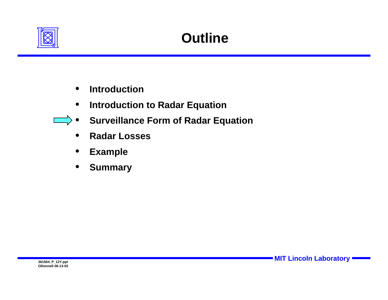

- **Introduction**
- **Introduction to Radar Equation**
- **Surveillance Form of Radar Equation** 
	- **Radar Losses**
	- **Example**
	- **Summary**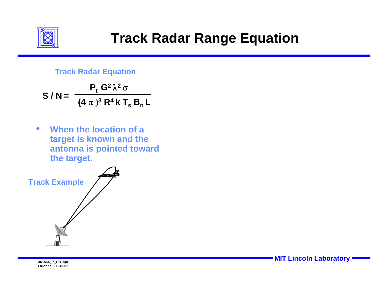

#### **Track Radar Equation**

$$
S/N = \frac{P_t G^2 \lambda^2 \sigma}{(4 \pi)^3 R^4 k T_s B_n L}
$$

• **When the location of a target is known and the antenna is pointed toward the target.**

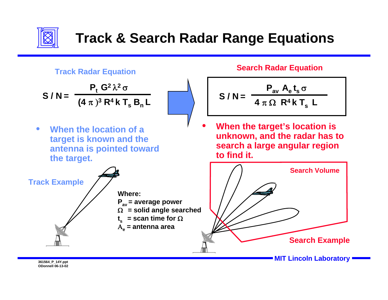

## **Track & Search Radar Range Equations**



$$
S/N = \frac{P_t G^2 \lambda^2 \sigma}{(4 \pi)^3 R^4 k T_s B_n L}
$$

• **When the location of a target is known and the antenna is pointed toward the target.**



#### **Search Radar Equation**

$$
S/N = \frac{P_{av} A_{e} t_{s} \sigma}{4 \pi \Omega R^{4} k T_{s} L}
$$

 • **When the target's location is unknown, and the radar has to search a large angular region to find it.**

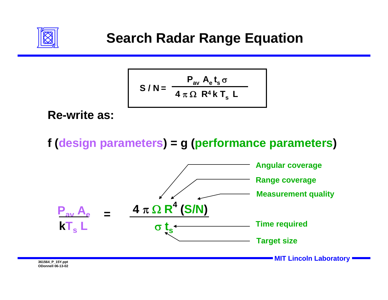

$$
S/N = \frac{P_{av} A_{e} t_{s} \sigma}{4 \pi \Omega R^{4} k T_{s} L}
$$

**Re-write as:**

**f (design parameters) = g (performance parameters)**

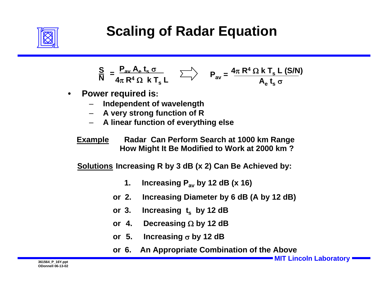

### **Scaling of Radar Equation**

$$
\frac{S}{N} = \frac{P_{av} A_e t_s \sigma}{4\pi R^4 \Omega k T_s L} \qquad \sum \rangle \qquad P_{av} = \frac{4\pi R^4 \Omega k T_s L (S/N)}{A_e t_s \sigma}
$$

- **Power required is:**
	- **Independent of wavelength**
	- **A very strong function of R**
	- **A linear function of everything else**

**Example Radar Can Perform Search at 1000 km Range How Might It Be Modified to Work at 2000 km ?**

**Solutions Increasing R by 3 dB (x 2) Can Be Achieved by:**

- **1. Increasing Pav by 12 dB (x 16)**
- **2. Increasing Diameter by 6 dB (A by 12 dB) or**
- **Increasing t<sub>s</sub> by 12 dB or**
- **4. Decreasing** Ω **by 12 dB or**
- **or5. Increasing** <sup>σ</sup> **by 12 dB**
- **6. An Appropriate Combination of the Above or**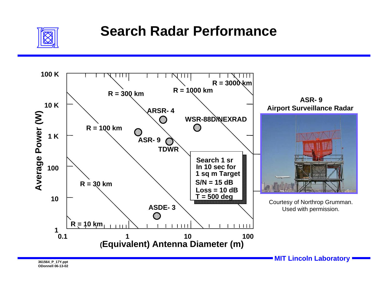

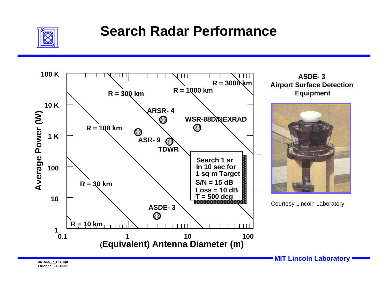

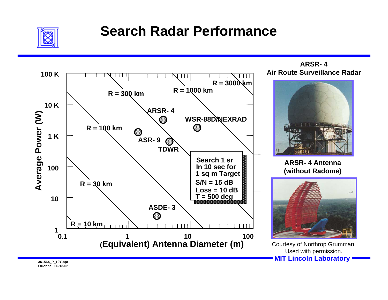

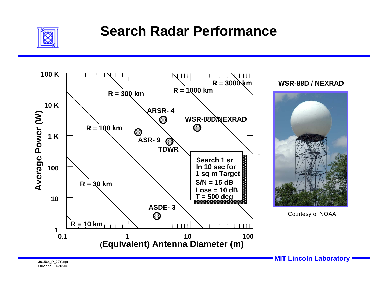

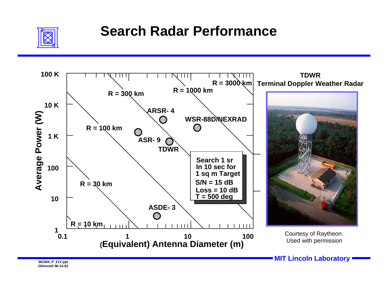

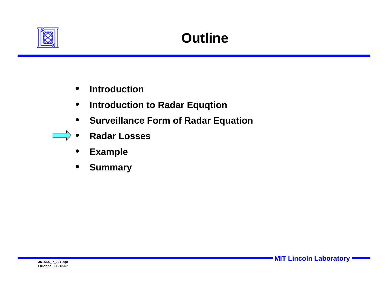

- **Introduction**
- **Introduction to Radar Equqtion**
- **Surveillance Form of Radar Equation**
- **Radar Losses** 
	- **Example**
	- **Summary**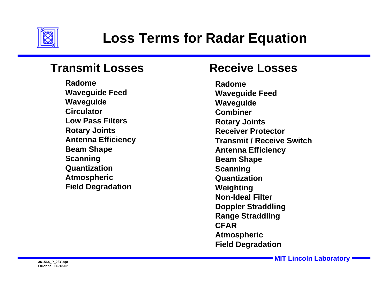

#### **Transmit Losses**

**RadomeWaveguide Feed Waveguide CirculatorLow Pass FiltersRotary Joints Antenna Efficiency Beam Shape Scanning Quantization Atmospheric Field Degradation**

#### **Receive Losses**

**RadomeWaveguide Feed Waveguide CombinerRotary Joints Receiver ProtectorTransmit / Receive SwitchAntenna Efficiency Beam Shape Scanning Quantization Weighting Non-Ideal FilterDoppler Straddling Range Straddling CFARAtmospheric Field Degradation**

**MIT Lincoln Laboratory 361564\_P\_23Y.ppt**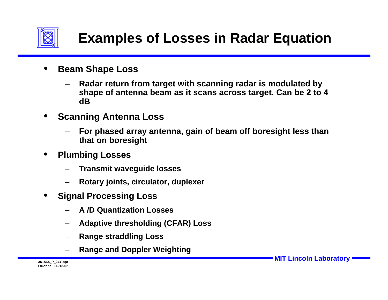

- **Beam Shape Loss**
	- **Radar return from target with scanning radar is modulated by shape of antenna beam as it scans across target. Can be 2 to 4 dB**
- **Scanning Antenna Loss**
	- **For phased array antenna, gain of beam off boresight less than that on boresight**
- **Plumbing Losses**
	- **Transmit waveguide losses**
	- **Rotary joints, circulator, duplexer**
- **Signal Processing Loss**
	- **A /D Quantization Losses**
	- **Adaptive thresholding (CFAR) Loss**
	- **Range straddling Loss**
	- **Range and Doppler Weighting**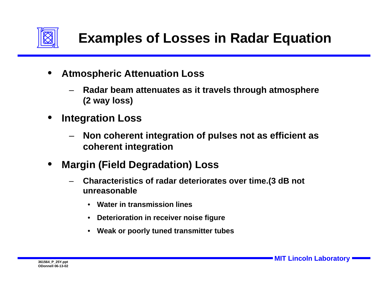

- **Atmospheric Attenuation Loss**
	- **Radar beam attenuates as it travels through atmosphere (2 way loss)**
- **Integration Loss**
	- **Non coherent integration of pulses not as efficient as coherent integration**
- **Margin (Field Degradation) Loss**
	- **Characteristics of radar deteriorates over time.(3 dB not unreasonable**
		- **Water in transmission lines**
		- **Deterioration in receiver noise figure**
		- **Weak or poorly tuned transmitter tubes**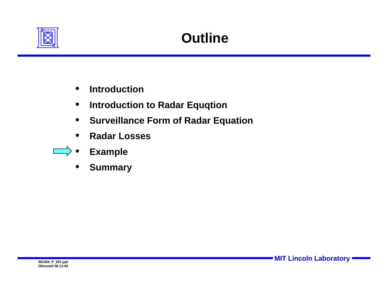

- **Introduction**
- **Introduction to Radar Equqtion**
- **Surveillance Form of Radar Equation**
- **Radar Losses**
- **Example**
	- **Summary**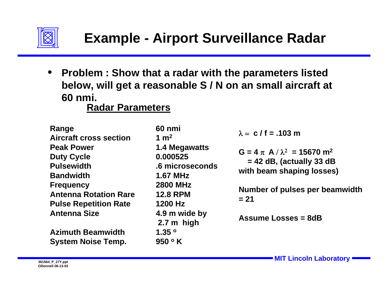

• **Problem : Show that a radar with the parameters listed below, will get a reasonable S / N on an small aircraft at 60 nmi.**

**Radar Parameters**

**Range 60 nmi** Aircraft cross section 1 m<sup>2</sup> Peak Power 1.4 Megawatts **Duty Cycle 0.000525 Pulsewidth .6 microsecondsBandwidth 1.67 MHzFrequency 2800 MHz Antenna Rotation Rare 12.8 RPMPulse Repetition Rate 1200 Hz Antenna Size 4.9 m wide by**

**Azimuth Beamwidth 1.35 o System Noise Temp. 950 o K**

**2.7 m high**

 $\lambda = c / f = .103$  m

 $G = 4 \pi A / \lambda^2 = 15670 \text{ m}^2$ **= 42 dB, (actually 33 dB with beam shaping losses)**

**Number of pulses per beamwidth = 21**

**Assume Losses = 8dB**

**MIT Lincoln Laboratory 361564\_P\_27Y.ppt**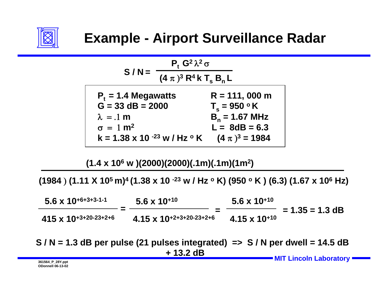



**(1.4 x 106 w )(2000)(2000)(.1m)(.1m)(1m2)**

**(1984** ) **(1.11 X 105 m)4 (1.38 x 10 -23 w / Hz o K) (950 o K ) (6.3) (1.67 x 106 Hz)**

| $5.6 \times 10^{+6+3+3+1}$     | $5.6 \times 10^{+10}$             | $5.6 \times 10^{+10}$                       |
|--------------------------------|-----------------------------------|---------------------------------------------|
| $415 \times 10^{+3+20-23+2+6}$ | $4.15 \times 10^{+2+3+20-23+2+6}$ | $= 1.35 = 1.3$ dB<br>$4.15 \times 10^{+10}$ |

**MIT Lincoln Laboratory 361564\_P\_28Y.ppt S / N = 1.3 dB per pulse (21 pulses integrated) => S / N per dwell = 14.5 dB + 13.2 dB**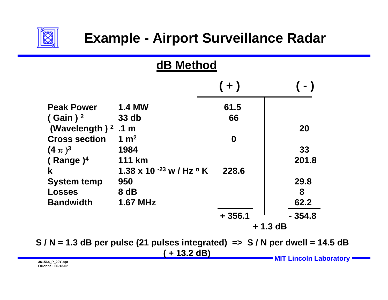

| dB Method              |                                  |                  |          |  |
|------------------------|----------------------------------|------------------|----------|--|
|                        |                                  | $(+)$            | (-)      |  |
| <b>Peak Power</b>      | <b>1.4 MW</b>                    | 61.5             |          |  |
| $($ Gain) <sup>2</sup> | 33 db                            | 66               |          |  |
| (Wavelength) $2$       | .1 <sub>m</sub>                  |                  | 20       |  |
| <b>Cross section</b>   | 1 $m2$                           | $\boldsymbol{0}$ |          |  |
| $(4 \pi)^3$            | 1984                             |                  | 33       |  |
| (Range) $4$            | <b>111 km</b>                    |                  | 201.8    |  |
| $\mathbf k$            | 1.38 x 10 $-23$ w / Hz $\circ$ K | 228.6            |          |  |
| <b>System temp</b>     | 950                              |                  | 29.8     |  |
| <b>Losses</b>          | 8 dB                             |                  | 8        |  |
| <b>Bandwidth</b>       | <b>1.67 MHz</b>                  |                  | 62.2     |  |
|                        |                                  | $+356.1$         | $-354.8$ |  |
|                        |                                  | $+1.3$ dB        |          |  |

**MIT Lincoln Laboratory MIT Lincoln Laboratory S / N = 1.3 dB per pulse (21 pulses integrated) => S / N per dwell = 14.5 dB ( + 13.2 dB)**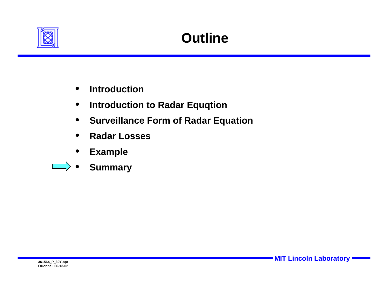

- **Introduction**
- **Introduction to Radar Equqtion**
- **Surveillance Form of Radar Equation**
- **Radar Losses**
- **Example**
- **Summary**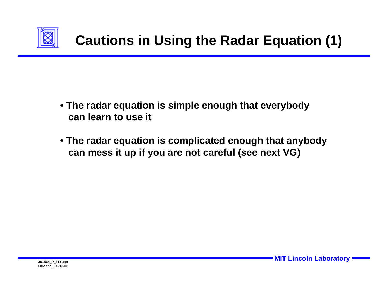

- **The radar equation is simple enough that everybody can learn to use it**
- **The radar equation is complicated enough that anybody can mess it up if you are not careful (see next VG)**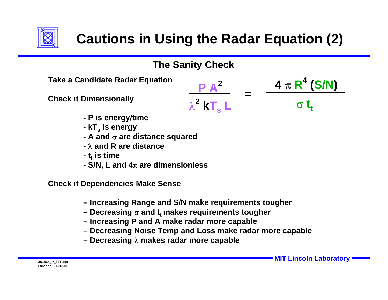

## **Cautions in Using the Radar Equation (2)**



**Take a Candidate Radar Equation**

**Check it Dimensionally**



**=**



- **P is energy/time**
- **- kTs is energy**
- **A and** σ **are distance squared**
- λ**and R are distance**
- **t<sub>t</sub> is time**
- **S/N, L and 4**<sup>π</sup> **are dimensionless**

**Check if Dependencies Make Sense**

- **Increasing Range and S/N make requirements tougher**
- Decreasing  $\sigma$  and t<sub>t</sub> makes requirements tougher
- **Increasing P and A make radar more capable**
- **Decreasing Noise Temp and Loss make radar more capable**
- **Decreasing** λ **makes radar more capable**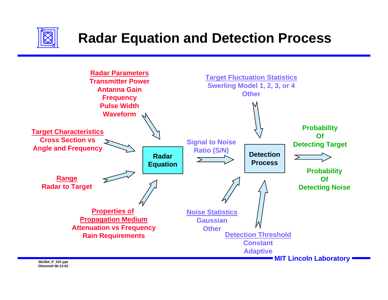

### **Radar Equation and Detection Process**

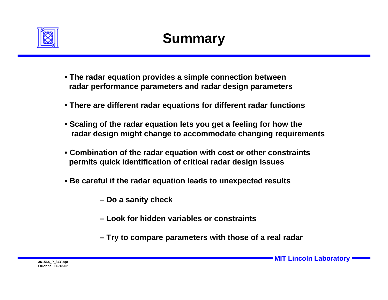

- **The radar equation provides a simple connection between radar performance parameters and radar design parameters**
- **There are different radar equations for different radar functions**
- **Scaling of the radar equation lets you get a feeling for how the radar design might change to accommodate changing requirements**
- **Combination of the radar equation with cost or other constraints permits quick identification of critical radar design issues**
- **Be careful if the radar equation leads to unexpected results**
	- **Do a sanity check**
	- **Look for hidden variables or constraints**
	- **Try to compare parameters with those of a real radar**